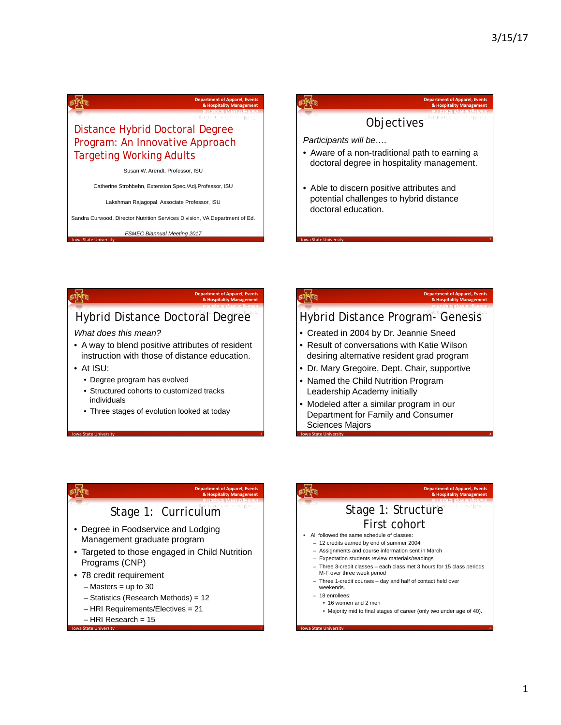# Distance Hybrid Doctoral Degree Program: An Innovative Approach Targeting Working Adults

Susan W. Arendt, Professor, ISU

Catherine Strohbehn, Extension Spec./Adj.Professor, ISU

Lakshman Rajagopal, Associate Professor, ISU

Sandra Curwood, Director Nutrition Services Division, VA Department of Ed.

*FSMEC Biannual Meeting 2017* 



### MTE

Io State IIn

timte

### **Department of Apparel, Events<br><b>& Hospitality Management**

**Department of Apparel, Events 8. Hospitality Management** 

## Hybrid Distance Doctoral Degree

### *What does this mean?*

- A way to blend positive attributes of resident instruction with those of distance education.
- At ISU:

state,

- Degree program has evolved
- Structured cohorts to customized tracks individuals
- Three stages of evolution looked at today

**Iowa State University 3 Iowa State University 3** 

### føre

### Hybrid Distance Program- Genesis

nt of Ap **8. Hospitality Management** 

**Iowa State University 2** *CONSIDER AND CONSIDER AT A CONSIDER AT A CONSIDER AT A CONSIDER AT A CONSIDER AT A CONSIDERATE AT A CONSIDERATE AT A CONSIDERATE AT A CONSIDERATE AT A CONSIDERATE AT A CONSIDERATE AT A CONSIDE* 

- Created in 2004 by Dr. Jeannie Sneed
- Result of conversations with Katie Wilson desiring alternative resident grad program
- Dr. Mary Gregoire, Dept. Chair, supportive
- Named the Child Nutrition Program Leadership Academy initially
- Modeled after a similar program in our Department for Family and Consumer Sciences Majors

**Iowa State University Alternative Contract Contract Contract Contract Contract Contract Contract Contract Contract Contract Contract Contract Contract Contract Contract Contract Contract Contract Contract Contract Contr** 

## **Department of Apparel, Eve 8** Hospitalit Stage 1: Curriculum

- Degree in Foodservice and Lodging Management graduate program
- Targeted to those engaged in Child Nutrition Programs (CNP)

**Iowa State University Section 2008 Contract Contract Contract Contract Contract Contract Contract Contract Contract Contract Contract Contract Contract Contract Contract Contract Contract Contract Contract Contract Co** 

- 78 credit requirement
	- $-$  Masters  $=$  up to 30
	- Statistics (Research Methods) = 12
	- HRI Requirements/Electives = 21
	- HRI Research = 15

### **Department of App 8.** Hospitalit Stage 1: Structure First cohort • All followed the same schedule of classes: – 12 credits earned by end of summer 2004

- Assignments and course information sent in March
- Expectation students review materials/readings
- Three 3-credit classes each class met 3 hours for 15 class periods M-F over three week period
- Three 1-credit courses day and half of contact held over weekends.
- 18 enrollees:

፣ቝ፞

- 16 women and 2 men
	- Majority mid to final stages of career (only two under age of 40).

**Iowa State University 6 Iowa State University 6 Iowa State University 6**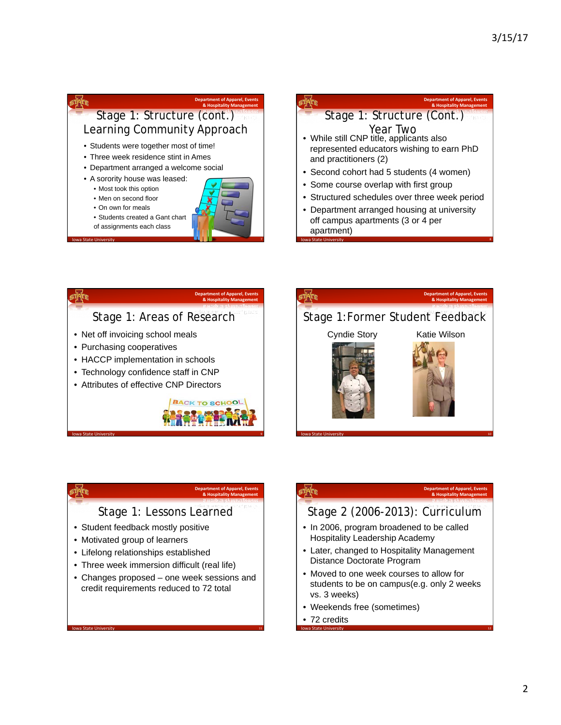### **Department of Apparel, Events A Hospitality Management** Learning Community Approach • Students were together most of time! • Three week residence stint in Ames • Department arranged a welcome social • A sorority house was leased: • Most took this option • Men on second floor • On own for meals

- Students created a Gant chart
- of assignments each class
- **10 Iowa State University And American Control of Control of Control of Control of Control of Control of Control of Control of Control of Control of Control of Control of Control of Control of Control of Control of Control**

|                       | <b>Department of Apparel, Events</b><br>& Hospitality Management                                  |
|-----------------------|---------------------------------------------------------------------------------------------------|
|                       | Stage 1: Structure (Cont.)                                                                        |
| and practitioners (2) | Year Two<br>• While still CNP title, applicants also<br>represented educators wishing to earn PhD |
|                       | • Second cohort had 5 students (4 women)                                                          |
|                       | • Some course overlap with first group                                                            |
|                       | • Structured schedules over three week period                                                     |
| apartment)            | • Department arranged housing at university<br>off campus apartments (3 or 4 per                  |





### **Department of Apparel, Event 8. Hospitality M**

### Stage 1: Lessons Learned

- Student feedback mostly positive
- Motivated group of learners

state,

- Lifelong relationships established
- Three week immersion difficult (real life)
- Changes proposed one week sessions and credit requirements reduced to 72 total

**11** Iowa State University **11** Iowa State University **11** 

### **Department of Apparel, Events<br><b>& Hospitality Management**

### Stage 2 (2006-2013): Curriculum

- In 2006, program broadened to be called Hospitality Leadership Academy
- Later, changed to Hospitality Management Distance Doctorate Program
- Moved to one week courses to allow for students to be on campus(e.g. only 2 weeks vs. 3 weeks)

12 Iowa State University **12 Iowa State University** 12 Iowa State University **12** 

- Weekends free (sometimes)
- 72 credits

**style**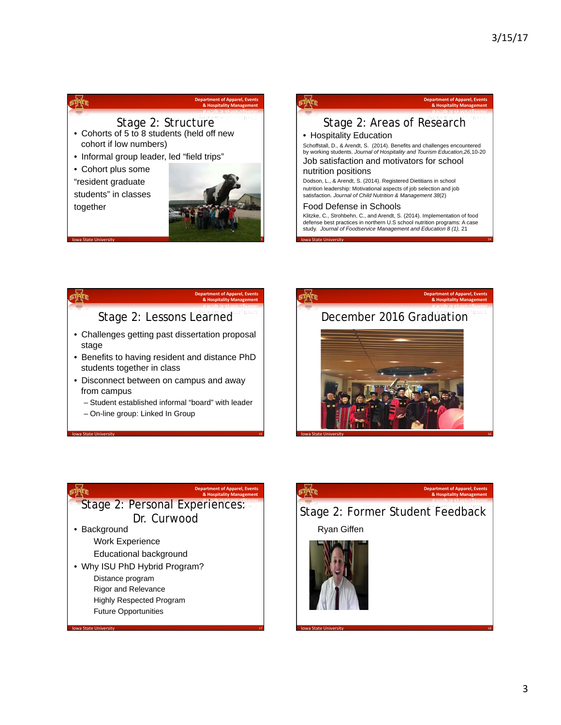### itatr. **Department of Apparel, Events 8. Hospitality Management** Stage 2: Structure • Cohorts of 5 to 8 students (held off new cohort if low numbers)

• Informal group leader, led "field trips"

• Cohort plus some "resident graduate students" in classes

together





14 Iowa State University **14** Iowa State University **14** Iowa State University

### **Department of Apparel, Events 8. Hospitality Management** Stage 2: Lessons Learned • Challenges getting past dissertation proposal stage

- Benefits to having resident and distance PhD students together in class
- Disconnect between on campus and away from campus
	- Student established informal "board" with leader

**15** Iowa State University **15 Iowa State University 15** 

– On-line group: Linked In Group

# **Department of Apparel, Events** ATE **8. Hospitality Management** December 2016 Graduation **16** Iowa State University **16 Iowa State University 16**

### **Department of Apparel, Event** timer **8. Hospitality Management** Stage 2: Personal Experiences: Dr. Curwood • Background

17 Iowa State University 17 Iowa State University 17 Iowa State University 17 Iowa State University 17 Iowa St

Work Experience Educational background

• Why ISU PhD Hybrid Program?

Distance program

- Rigor and Relevance
- Highly Respected Program
- Future Opportunities

# STATE **Department of Apparel, Event 8. Hospitality Man** Stage 2: Former Student Feedback Ryan Giffen

**18** Iowa State University **18** Iowa State University **18** 

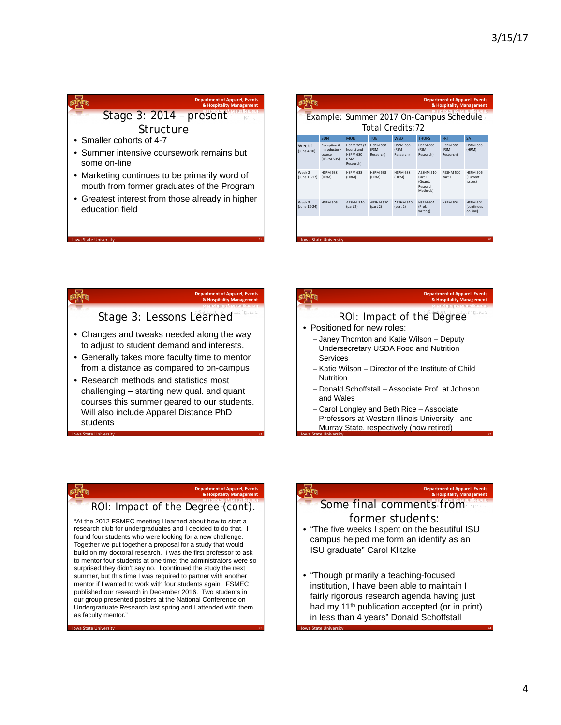## **Department of Apparel, Events<br>& Hospitality Management** Stage 3: 2014 – present **Structure**

- Smaller cohorts of 4-7
- Summer intensive coursework remains but some on-line
- Marketing continues to be primarily word of mouth from former graduates of the Program
- Greatest interest from those already in higher education field

|                        | Example: Summer 2017 On-Campus Schedule             |                                                                    |                               | Total Credits: 72             |                                                         |                               |                                            |
|------------------------|-----------------------------------------------------|--------------------------------------------------------------------|-------------------------------|-------------------------------|---------------------------------------------------------|-------------------------------|--------------------------------------------|
|                        | SUN                                                 | <b>MON</b>                                                         | TUF                           | <b>WFD</b>                    | <b>THURS</b>                                            | <b>FRI</b>                    | <b>SAT</b>                                 |
| Week 1<br>(June 4-10)  | Reception &<br>Introductory<br>course<br>(HSPM 505) | <b>HSPM 505 (2)</b><br>hours) and<br>HSPM 680<br>(FSM<br>Research) | HSPM 680<br>(FSM<br>Research) | HSPM 680<br>(FSM<br>Research) | HSPM 680<br>(FSM<br>Research)                           | HSPM 680<br>(FSM<br>Research) | <b>HSPM 638</b><br>(HRM)                   |
| Week 2<br>(June 11-17) | <b>HSPM 638</b><br>(HRM)                            | <b>HSPM 638</b><br>(HRM)                                           | <b>HSPM 638</b><br>(HRM)      | <b>HSPM 638</b><br>(HRM)      | AFSHM 510:<br>Part 1<br>(Quant.<br>Research<br>Methods) | <b>AESHM 510:</b><br>part 1   | HSPM 506<br>(Current<br>Issues)            |
| Week 3<br>(June 18-24) | <b>HSPM 506</b>                                     | AFSHM 510<br>(part 2)                                              | AFSHM 510<br>part 2)          | AFSHM 510<br>part 2)          | HSPM 604<br>(Prof.<br>writing)                          | HSPM 604                      | HSPM 604<br><b>(continues)</b><br>on line) |

time

wa State Uni

### **8. Hospitality Management**

nt of Ai

### Stage 3: Lessons Learned

- Changes and tweaks needed along the way to adjust to student demand and interests.
- Generally takes more faculty time to mentor from a distance as compared to on-campus
- Research methods and statistics most challenging – starting new qual. and quant courses this summer geared to our students. Will also include Apparel Distance PhD students

**21** Iowa State University **221** 

## pre

**TATE** 

## ROI: Impact of the Degree

- Positioned for new roles:
	- Janey Thornton and Katie Wilson Deputy Undersecretary USDA Food and Nutrition Services
	- Katie Wilson Director of the Institute of Child Nutrition
	- Donald Schoffstall Associate Prof. at Johnson and Wales

**22** Iowa State University **22** Iowa State University **22** Iowa State University

– Carol Longley and Beth Rice – Associate Professors at Western Illinois University and Murray State, respectively (now retired)

### **Department of Apparel, Events 8** Ho

### ROI: Impact of the Degree (cont).

"At the 2012 FSMEC meeting I learned about how to start a research club for undergraduates and I decided to do that. I found four students who were looking for a new challenge. Together we put together a proposal for a study that would build on my doctoral research. I was the first professor to ask to mentor four students at one time; the administrators were so surprised they didn't say no. I continued the study the next summer, but this time I was required to partner with another mentor if I wanted to work with four students again. FSMEC published our research in December 2016. Two students in our group presented posters at the National Conference on Undergraduate Research last spring and I attended with them as faculty mentor."

**Iowa State University** 23 **Iowa State University** 23

### **Department of Apparel, Events 8** Hospitality Man

**Department of Apparel, Events 8. Hospitality Management** 

# Some final comments from former students: • "The five weeks I spent on the beautiful ISU

- campus helped me form an identify as an ISU graduate" Carol Klitzke
- "Though primarily a teaching-focused institution, I have been able to maintain I fairly rigorous research agenda having just had my 11<sup>th</sup> publication accepted (or in print) in less than 4 years" Donald Schoffstall

**24** Iowa State University **24** Iowa State University **24**